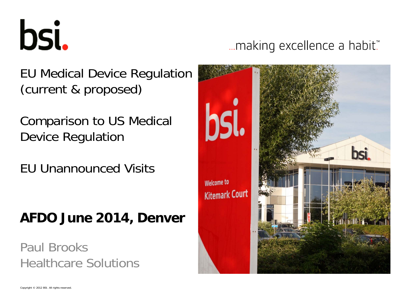bsi.

... making excellence a habit.™

bsi. **Welcome to Kitemark Court** 

EU Medical Device Regulation (current & proposed)

Comparison to US Medical Device Regulation

EU Unannounced Visits

# **AFDO June 2014, Denver**

Paul BrooksHealthcare Solutions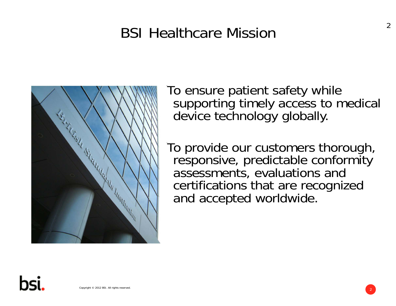# BSI Healthcare Mission



To ensure patient safety while supporting timely access to medical device technology globally.

To provide our customers thorough, responsive, predictable conformity assessments, evaluations and certifications that are recognized and accepted worldwide.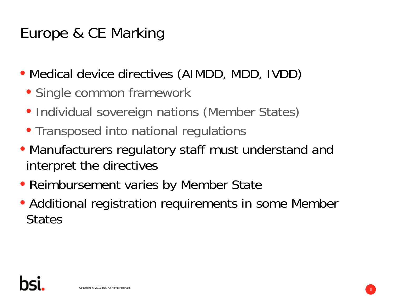- Medical device directives (AIMDD, MDD, IVDD)
	- Single common framework
	- Individual sovereign nations (Member States)
	- Transposed into national regulations
- Manufacturers regulatory staff must understand and interpret the directives
- Reimbursement varies by Member State
- Additional registration requirements in some Member **States**

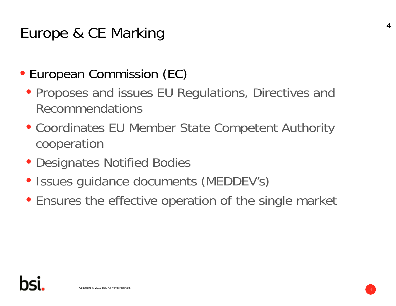- European Commission (EC)
	- Proposes and issues EU Regulations, Directives and Recommendations
	- Coordinates EU Member State Competent Authority cooperation
	- Designates Notified Bodies
	- Issues guidance documents (MEDDEV's)
	- Ensures the effective operation of the single market

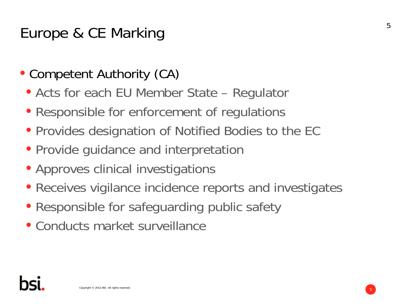- Competent Authority (CA)
	- Acts for each EU Member State Regulator
	- Responsible for enforcement of regulations
	- Provides designation of Notified Bodies to the EC
	- Provide guidance and interpretation
	- Approves clinical investigations
	- Receives vigilance incidence reports and investigates
	- Responsible for safeguarding public safety
	- Conducts market surveillance

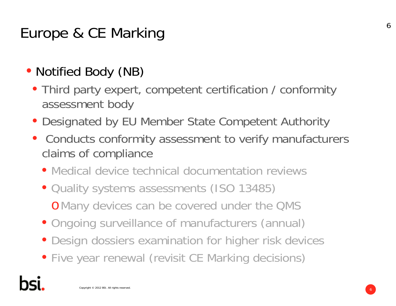# • Notified Body (NB)

- Third party expert, competent certification / conformity assessment body
- Designated by EU Member State Competent Authority
- Conducts conformity assessment to verify manufacturers claims of compliance
	- Medical device technical documentation reviews
	- Quality systems assessments (ISO 13485) <sup>o</sup>Many devices can be covered under the QMS
	- Ongoing surveillance of manufacturers (annual)
	- Design dossiers examination for higher risk devices
	- Five year renewal (revisit CE Marking decisions)

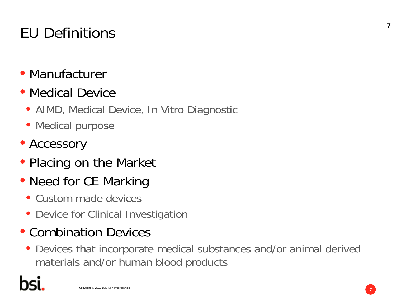# EU Definitions

- Manufacturer
- Medical Device
	- AIMD, Medical Device, In Vitro Diagnostic
	- Medical purpose
- Accessory
- Placing on the Market
- Need for CE Marking
	- Custom made devices
	- Device for Clinical Investigation
- Combination Devices
	- Devices that incorporate medical substances and/or animal derived materials and/or human blood products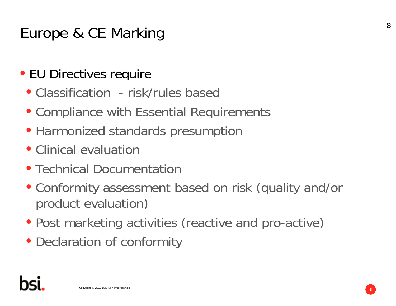# • EU Directives require

- Classification risk/rules based
- Compliance with Essential Requirements
- Harmonized standards presumption
- Clinical evaluation
- Technical Documentation
- Conformity assessment based on risk (quality and/or product evaluation)
- Post marketing activities (reactive and pro-active)
- Declaration of conformity

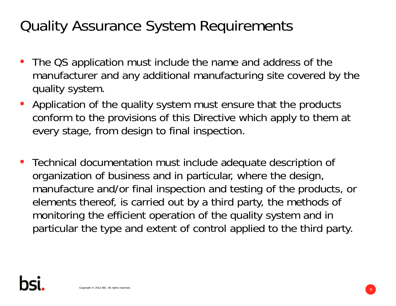# Quality Assurance System Requirements

- The QS application must include the name and address of the manufacturer and any additional manufacturing site covered by the quality system.
- Application of the quality system must ensure that the products conform to the provisions of this Directive which apply to them at every stage, from design to final inspection.
- Technical documentation must include adequate description of organization of business and in particular, where the design, manufacture and/or final inspection and testing of the products, or elements thereof, is carried out by a third party, the methods of monitoring the efficient operation of the quality system and in particular the type and extent of control applied to the third party.

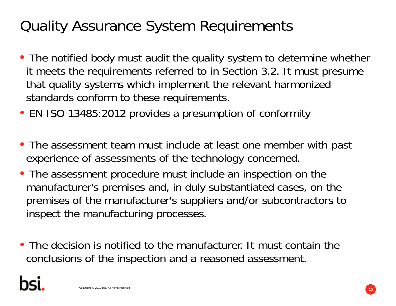# Quality Assurance System Requirements

- The notified body must audit the quality system to determine whether it meets the requirements referred to in Section 3.2. It must presume that quality systems which implement the relevant harmonized standards conform to these requirements.
- EN ISO 13485:2012 provides a presumption of conformity
- The assessment team must include at least one member with past experience of assessments of the technology concerned.
- The assessment procedure must include an inspection on the manufacturer's premises and, in duly substantiated cases, on the premises of the manufacturer's suppliers and/or subcontractors to inspect the manufacturing processes.
- The decision is notified to the manufacturer. It must contain the conclusions of the inspection and a reasoned assessment.

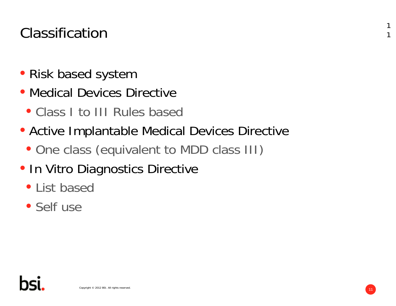# Classification

- Risk based system
- Medical Devices Directive
	- Class I to III Rules based
- Active Implantable Medical Devices Directive
	- One class (equivalent to MDD class III)
- **In Vitro Diagnostics Directive** 
	- List based
	- Self use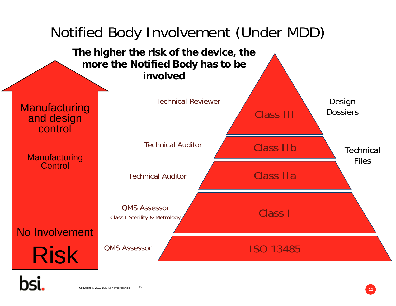

#### Copyright © 2012 BSI. All rights reserved.  $12$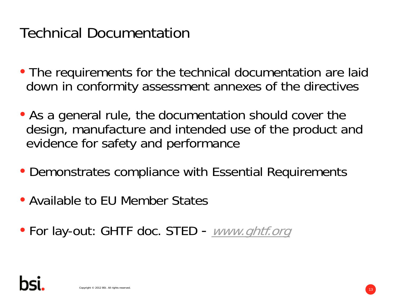# Technical Documentation

- The requirements for the technical documentation are laid down in conformity assessment annexes of the directives
- As a general rule, the documentation should cover the design, manufacture and intended use of the product and evidence for safety and performance
- Demonstrates compliance with Essential Requirements
- Available to EU Member States
- For lay-out: GHTF doc. STED www.ghtf.org

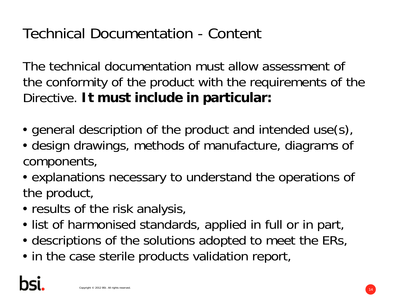# Technical Documentation - Content

The technical documentation must allow assessment of the conformity of the product with the requirements of the Directive. **It must include in particular:**

- general description of the product and intended use(s),
- design drawings, methods of manufacture, diagrams of components,
- explanations necessary to understand the operations of the product,
- results of the risk analysis,
- list of harmonised standards, applied in full or in part,
- descriptions of the solutions adopted to meet the ERs,
- in the case sterile products validation report,

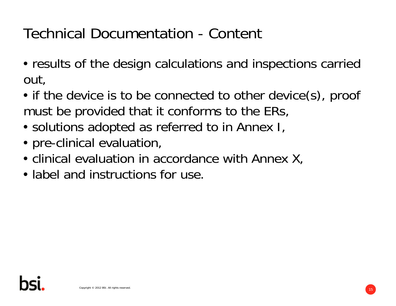Technical Documentation - Content

- results of the design calculations and inspections carried out,
- if the device is to be connected to other device(s), proof must be provided that it conforms to the ERs,
- solutions adopted as referred to in Annex I,
- pre-clinical evaluation,
- clinical evaluation in accordance with Annex X,
- label and instructions for use.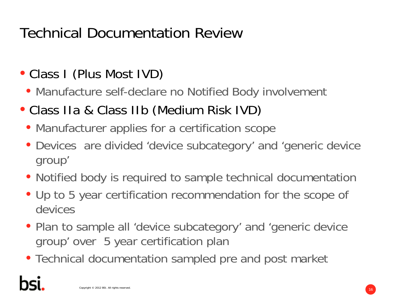# Technical Documentation Review

- Class I (Plus Most IVD)
	- Manufacture self-declare no Notified Body involvement
- Class IIa & Class IIb (Medium Risk IVD)
	- Manufacturer applies for a certification scope
	- Devices are divided 'device subcategory' and 'generic device group'
	- Notified body is required to sample technical documentation
	- Up to 5 year certification recommendation for the scope of devices
	- Plan to sample all 'device subcategory' and 'generic device group' over 5 year certification plan
	- Technical documentation sampled pre and post market

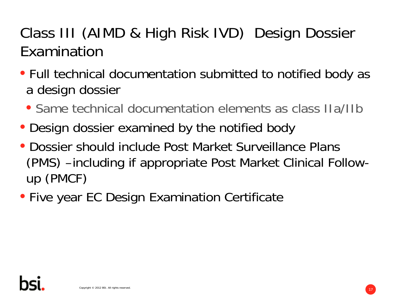# Class III (AIMD & High Risk IVD) Design Dossier Examination

- Full technical documentation submitted to notified body as a design dossier
	- Same technical documentation elements as class IIa/IIb
- Design dossier examined by the notified body
- Dossier should include Post Market Surveillance Plans (PMS) –including if appropriate Post Market Clinical Followup (PMCF)
- Five year EC Design Examination Certificate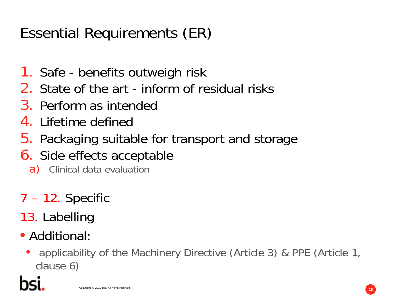# Essential Requirements (ER)

- 1. Safe benefits outweigh risk
- 2. State of the art inform of residual risks
- 3. Perform as intended
- 4. Lifetime defined
- 5. Packaging suitable for transport and storage
- **6.** Side effects acceptable
	- a) Clinical data evaluation
- 7 12. Specific
- 13. Labelling
- Additional:
	- applicability of the Machinery Directive (Article 3) & PPE (Article 1, clause 6)

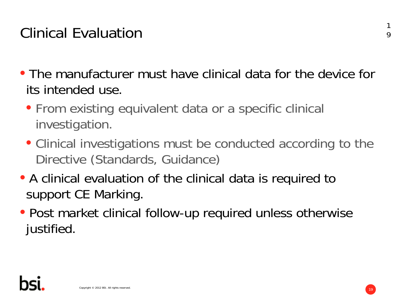# Clinical Evaluation

- The manufacturer must have clinical data for the device for its intended use.
	- From existing equivalent data or a specific clinical investigation.
	- Clinical investigations must be conducted according to the Directive (Standards, Guidance)
- A clinical evaluation of the clinical data is required to support CE Marking.
- Post market clinical follow-up required unless otherwise justified.

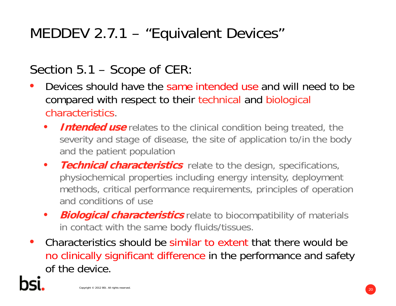# MEDDEV 2.7.1 – "Equivalent Devices"

# Section 5.1 – Scope of CER:

- • Devices should have the same intended use and will need to be compared with respect to their technical and biological characteristics.
	- •**Intended use** relates to the clinical condition being treated, the severity and stage of disease, the site of application to/in the body and the patient population
	- $\bullet$  **Technical characteristics** relate to the design, specifications, physiochemical properties including energy intensity, deployment methods, critical performance requirements, principles of operation and conditions of use
	- $\bullet$ **Biological characteristics** relate to biocompatibility of materials in contact with the same body fluids/tissues.
- • Characteristics should be similar to extent that there would be no clinically significant difference in the performance and safety of the device.

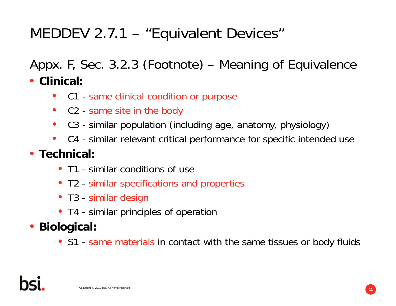# MEDDEV 2.7.1 – "Equivalent Devices"

Appx. F, Sec. 3.2.3 (Footnote) – Meaning of Equivalence

• **Clinical:**

- C1 same clinical condition or purpose
- C2 same site in the body
- •C3 - similar population (including age, anatomy, physiology)
- C4 similar relevant critical performance for specific intended use

## • **Technical:**

- T1 similar conditions of use
- T2 similar specifications and properties
- T3 similar design
- T4 similar principles of operation
- **Biological:**
	- S1 same materials in contact with the same tissues or body fluids

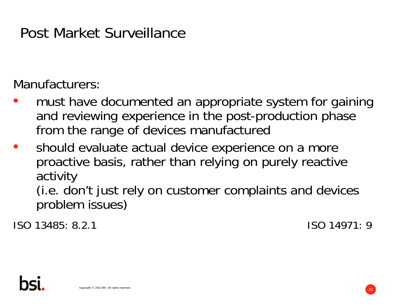# Post Market Surveillance

Manufacturers:

- $\bullet$  must have documented an appropriate system for gaining and reviewing experience in the post-production phase from the range of devices manufactured
- $\bullet$  should evaluate actual device experience on a more proactive basis, rather than relying on purely reactive activity

(i.e. don't just rely on customer complaints and devices problem issues)

ISO 13485: 8.2.1 ISO 14971: 9

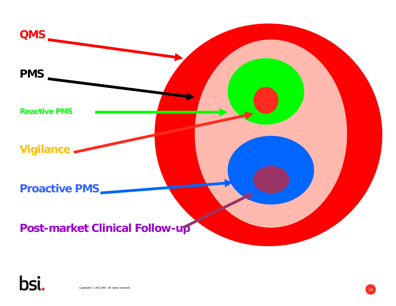

Copyright © 2012 BSI. All rights reserved.  $\begin{pmatrix} 23 \end{pmatrix}$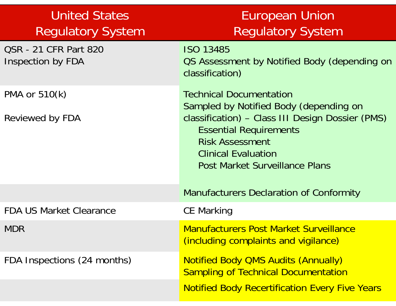| <b>United States</b><br><b>Regulatory System</b>         | <b>European Union</b><br><b>Regulatory System</b>                                                                                                                                                                                                       |  |  |  |
|----------------------------------------------------------|---------------------------------------------------------------------------------------------------------------------------------------------------------------------------------------------------------------------------------------------------------|--|--|--|
| <b>QSR - 21 CFR Part 820</b><br><b>Inspection by FDA</b> | <b>ISO 13485</b><br>OS Assessment by Notified Body (depending on<br>classification)                                                                                                                                                                     |  |  |  |
| PMA or 510(k)<br>Reviewed by FDA                         | <b>Technical Documentation</b><br>Sampled by Notified Body (depending on<br>classification) - Class III Design Dossier (PMS)<br><b>Essential Requirements</b><br><b>Risk Assessment</b><br><b>Clinical Evaluation</b><br>Post Market Surveillance Plans |  |  |  |
|                                                          | <b>Manufacturers Declaration of Conformity</b>                                                                                                                                                                                                          |  |  |  |
| <b>FDA US Market Clearance</b>                           | <b>CE Marking</b>                                                                                                                                                                                                                                       |  |  |  |
| <b>MDR</b>                                               | <b>Manufacturers Post Market Surveillance</b><br>(including complaints and vigilance)                                                                                                                                                                   |  |  |  |
| FDA Inspections (24 months)                              | <b>Notified Body QMS Audits (Annually)</b><br><b>Sampling of Technical Documentation</b><br><b>Notified Body Recertification Every Five Years</b>                                                                                                       |  |  |  |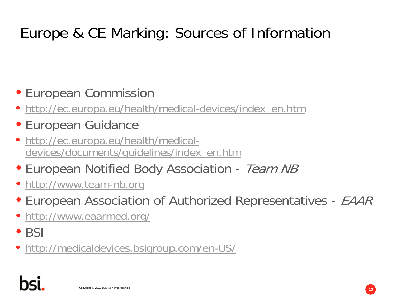# Europe & CE Marking: Sources of Information

# • European Commission

- http://ec.europa.eu/health/medical-devices/index\_en.htm
- European Guidance
- http://ec.europa.eu/health/medicaldevices/documents/guidelines/index\_en.htm
- European Notified Body Association Team NB
- http://www.team-nb.org
- European Association of Authorized Representatives EAAR
- http://www.eaarmed.org/
- $\bullet$  BSI
- http://medicaldevices.bsigroup.com/en-US/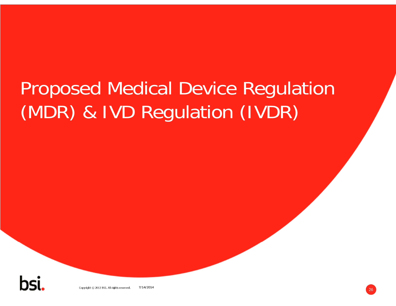# Proposed Medical Device Regulation (MDR) & IVD Regulation (IVDR)

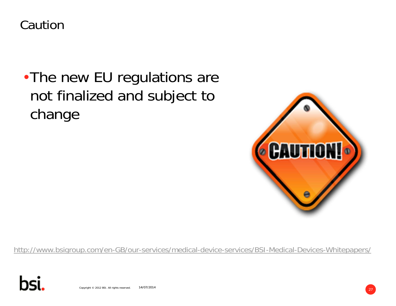Caution

# •The new EU regulations are not finalized and subject to change



http://www.bsigroup.com/en-GB/our-services/medical-device-services/BSI-Medical-Devices-Whitepapers/



Copyright © 2012 BSI. All rights reserved. 29 27 2014 14/07/2014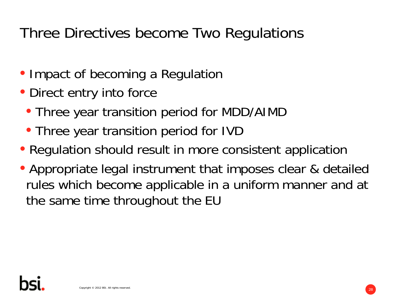# Three Directives become Two Regulations

- Impact of becoming a Regulation
- Direct entry into force
	- Three year transition period for MDD/AIMD
	- Three year transition period for IVD
- Regulation should result in more consistent application
- Appropriate legal instrument that imposes clear & detailed rules which become applicable in a uniform manner and at the same time throughout the EU

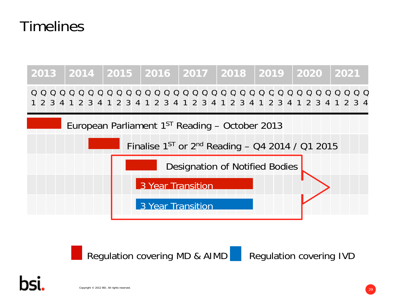# Timelines









Copyright © 2012 BSI. All rights reserved.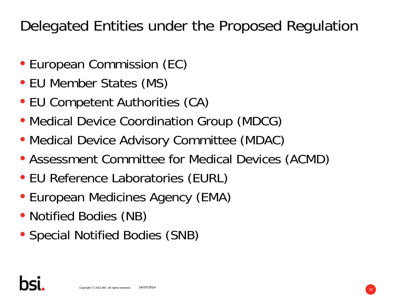Delegated Entities under the Proposed Regulation

- European Commission (EC)
- EU Member States (MS)
- EU Competent Authorities (CA)
- Medical Device Coordination Group (MDCG)
- Medical Device Advisory Committee (MDAC)
- Assessment Committee for Medical Devices (ACMD)
- EU Reference Laboratories (EURL)
- European Medicines Agency (EMA)
- Notified Bodies (NB)
- Special Notified Bodies (SNB)

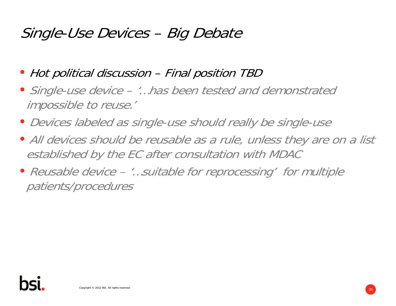# Single-Use Devices – Big Debate

- Hot political discussion Final position TBD
- Single-use device '…has been tested and demonstrated impossible to reuse.'
- Devices labeled as single-use should really be single-use
- All devices should be reusable as a rule, unless they are on a list established by the EC after consultation with MDAC
- Reusable device '…suitable for reprocessing' for multiple patients/procedures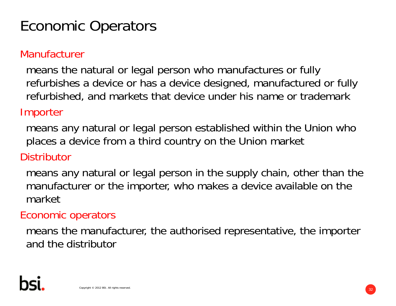# Economic Operators

#### Manufacturer

means the natural or legal person who manufactures or fully refurbishes a device or has a device designed, manufactured or fully refurbished, and markets that device under his name or trademark

#### Importer

means any natural or legal person established within the Union who places a device from a third country on the Union market

#### **Distributor**

means any natural or legal person in the supply chain, other than the manufacturer or the importer, who makes a device available on the market

#### Economic operators

means the manufacturer, the authorised representative, the importer and the distributor

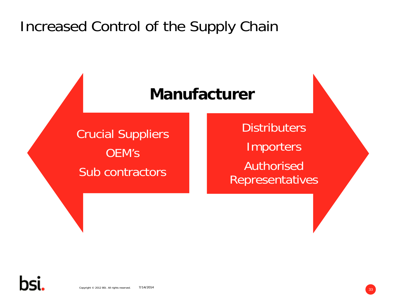# Increased Control of the Supply Chain

# **Manufacturer**

Crucial Suppliers OEM'sSub contractors

**Distributers** Importers Authorised Representatives

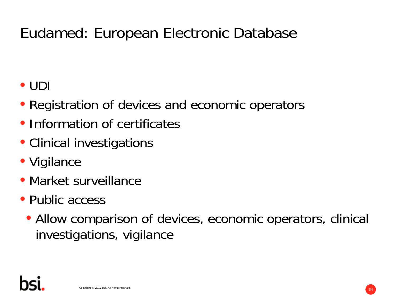# Eudamed: European Electronic Database

• UDI

- Registration of devices and economic operators
- Information of certificates
- Clinical investigations
- Vigilance
- Market surveillance
- Public access
	- Allow comparison of devices, economic operators, clinical investigations, vigilance

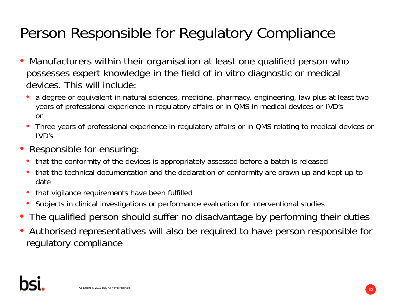# Person Responsible for Regulatory Compliance

- $\bullet$  Manufacturers within their organisation at least one qualified person who possesses expert knowledge in the field of in vitro diagnostic or medical devices. This will include:
	- • a degree or equivalent in natural sciences, medicine, pharmacy, engineering, law plus at least two years of professional experience in regulatory affairs or in QMS in medical devices or IVD's or
	- • Three years of professional experience in regulatory affairs or in QMS relating to medical devices or IVD's
- • Responsible for ensuring:
	- that the conformity of the devices is appropriately assessed before a batch is released
	- • that the technical documentation and the declaration of conformity are drawn up and kept up-todate
	- •that vigilance requirements have been fulfilled
	- Subjects in clinical investigations or performance evaluation for interventional studies
- •The qualified person should suffer no disadvantage by performing their duties
- • Authorised representatives will also be required to have person responsible for regulatory compliance

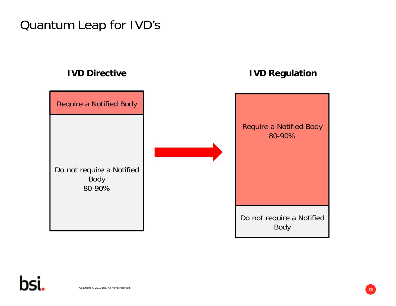# Quantum Leap for IVD's

Do not require a Notified Body 80-90%Require a Notified Body

#### **IVD Directive IVD Regulation**

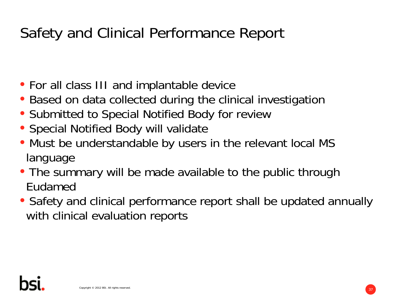# Safety and Clinical Performance Report

- For all class III and implantable device
- Based on data collected during the clinical investigation
- Submitted to Special Notified Body for review
- Special Notified Body will validate
- Must be understandable by users in the relevant local MS language
- The summary will be made available to the public through Eudamed
- Safety and clinical performance report shall be updated annually with clinical evaluation reports

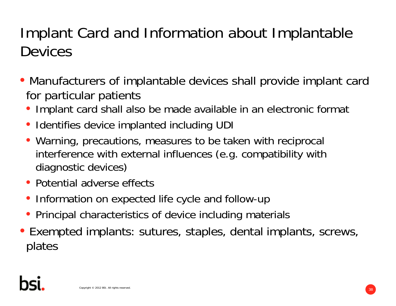# Implant Card and Information about Implantable Devices

- Manufacturers of implantable devices shall provide implant card for particular patients
	- Implant card shall also be made available in an electronic format
	- Identifies device implanted including UDI
	- Warning, precautions, measures to be taken with reciprocal interference with external influences (e.g. compatibility with diagnostic devices)
	- Potential adverse effects
	- Information on expected life cycle and follow-up
	- Principal characteristics of device including materials
- Exempted implants: sutures, staples, dental implants, screws, plates

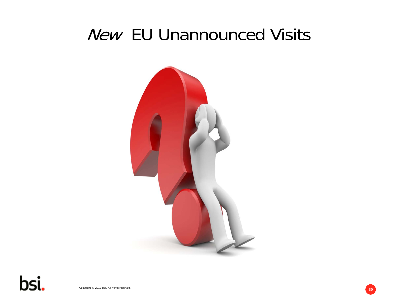# New EU Unannounced Visits



bsi.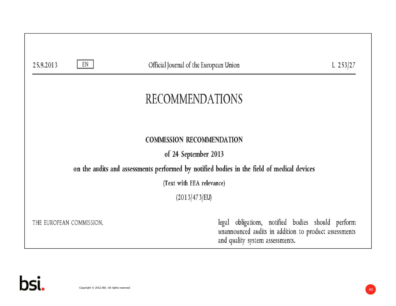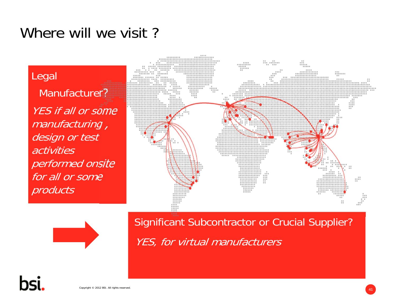# Where will we visit?

Legal Manufacturer? YES if all or some manufacturing , design or test activities performed onsite for all or some products





Significant Subcontractor or Crucial Supplier? YES, for virtual manufacturers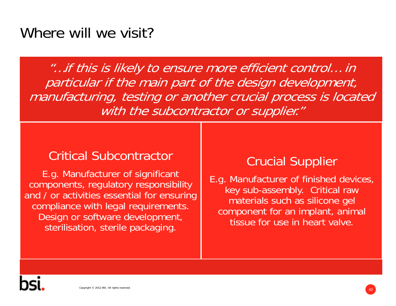# Where will we visit?

"…if this is likely to ensure more efficient control… in particular if the main part of the design development, manufacturing, testing or another crucial process is located with the subcontractor or supplier."

### Critical Subcontractor

E.g. Manufacturer of significant components, regulatory responsibility and / or activities essential for ensuring compliance with legal requirements. Design or software development, sterilisation, sterile packaging.

## Crucial Supplier

E.g. Manufacturer of finished devices, key sub-assembly. Critical raw materials such as silicone gel component for an implant, animal tissue for use in heart valve.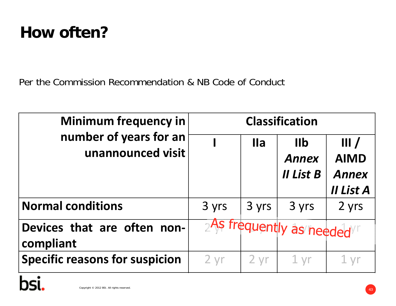# **How often?**

Per the Commission Recommendation & NB Code of Conduct

| <b>Minimum frequency in</b><br>number of years for an<br>unannounced visit | <b>Classification</b> |            |                                                   |                                                  |
|----------------------------------------------------------------------------|-----------------------|------------|---------------------------------------------------|--------------------------------------------------|
|                                                                            |                       | <b>Ila</b> | $I\mathbf{I}$<br><b>Annex</b><br><b>II List B</b> | III/<br><b>AIMD</b><br><b>Annex</b><br>II List A |
| <b>Normal conditions</b>                                                   | 3 yrs                 | 3 yrs      | 3 yrs                                             | 2 yrs                                            |
| Devices that are often non-<br>compliant                                   |                       |            | As frequently as needed                           |                                                  |
| <b>Specific reasons for suspicion</b>                                      | $2 \, yr$             | $2 \, yr$  | 1 <sub>yr</sub>                                   |                                                  |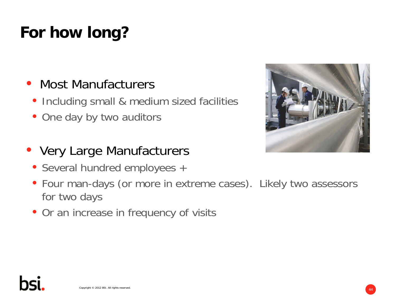# **For how long?**

# • Most Manufacturers

- Including small & medium sized facilities
- One day by two auditors

# • Very Large Manufacturers

- Several hundred employees +
- Four man-days (or more in extreme cases). Likely two assessors for two days
- Or an increase in frequency of visits

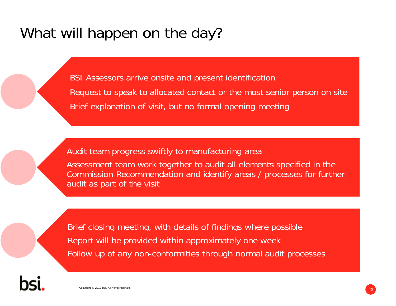# What will happen on the day?

BSI Assessors arrive onsite and present identification Request to speak to allocated contact or the most senior person on site Brief explanation of visit, but no formal opening meeting

Audit team progress swiftly to manufacturing area

Assessment team work together to audit all elements specified in the Commission Recommendation and identify areas / processes for further audit as part of the visit

Brief closing meeting, with details of findings where possible Report will be provided within approximately one week Follow up of any non-conformities through normal audit processes

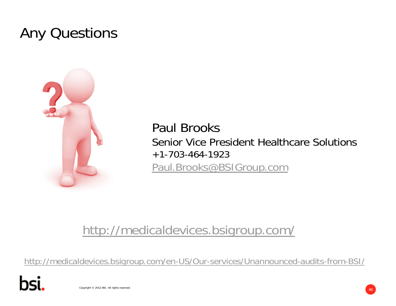# Any Questions



Paul BrooksSenior Vice President Healthcare Solutions +1-703-464-1923Paul.Brooks@BSIGroup.com

# http://medicaldevices.bsigroup.com/

http://medicaldevices.bsigroup.com/en-US/Our-services/Unannounced-audits-from-BSI/